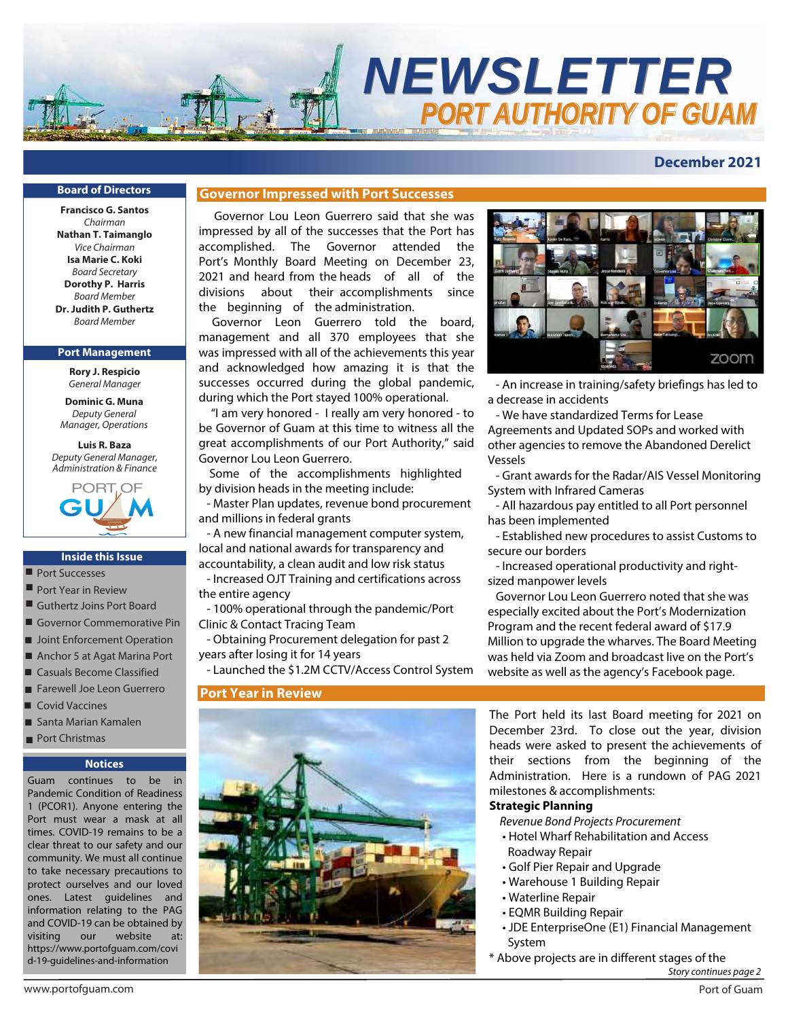

# **December 2021**

#### **Board of Directors**

**Francisco G. Santos** Chairman **Nathan T. Taimanglo** Vice Chairman **Isa Marie C. Koki** Board Secretary **Dorothy P. Harris** Board Member **Dr. Judith P. Guthertz** Board Member

#### **Port Management**

**Rory J. Respicio** *General Manager*

**Dominic G. Muna** *Deputy General Manager, Operations*

**Luis R. Baza** *Deputy General Manager, Administration & Finance*



#### **Inside this Issue**

- Port Successes
- Port Year in Review
- Guthertz Joins Port Board
- Governor Commemorative Pin
- Joint Enforcement Operation
- Anchor 5 at Agat Marina Port
- Casuals Become Classified
- Farewell Joe Leon Guerrero
- Covid Vaccines
- Santa Marian Kamalen
- Port Christmas

#### **Notices**

Guam continues to be in Pandemic Condition of Readiness 1 (PCOR1). Anyone entering the Port must wear a mask at all times. COVID-19 remains to be a clear threat to our safety and our community. We must all continue to take necessary precautions to protect ourselves and our loved ones. Latest guidelines and information relating to the PAG and COVID-19 can be obtained by visiting our website at: https://www.portofguam.com/covi d-19-guidelines-and-information

## **Governor Impressed with Port Successes**

Governor Lou Leon Guerrero said that she was impressed by all of the successes that the Port has accomplished. The Governor attended the Port's Monthly Board Meeting on December 23, 2021 and heard from the heads of all of the divisions about their accomplishments since the beginning of the administration.

Governor Leon Guerrero told the board
management and all 370 employees that she was impressed with all of the achievements this year and acknowledged how amazing it is that the successes occurred during the global pandemic, during which the Port stayed 100% operational.

"I am very honored - I really am very honored - to be Governor of Guam at this time to witness all the great accomplishments of our Port Authority," said Governor Lou Leon Guerrero.

 Some of the accomplishments highlighted by division heads in the meeting include

- Master Plan updates, revenue bond procurement and millions in federal grants

- A new financial management computer system, local and national awards for transparency and accountability, a clean audit and low risk status - Increased OJT Training and certifications across

the entire agency - 100% operational through the pandemic/Port

Clinic & Contact Tracing Team

- Obtaining Procurement delegation for past 2 years after losing it for 14 years

- Launched the \$1.2M CCTV/Access Control System

#### **Port Year in Review**





- An increase in training/safety briefings has led to a decrease in accidents

- We have standardized Terms for Lease Agreements and Updated SOPs and worked with other agencies to remove the Abandoned Derelict Vessels

- Grant awards for the Radar/AIS Vessel Monitoring System with Infrared Cameras

- All hazardous pay entitled to all Port personnel has been implemented

- Established new procedures to assist Customs to secure our borders

- Increased operational productivity and rightsized manpower levels

 Governor Lou Leon Guerrero noted that she was especially excited about the Port's Modernization Program and the recent federal award of \$17.9 Million to upgrade the wharves. The Board Meeting was held via Zoom and broadcast live on the Port's website as well as the agency's Facebook page.

The Port held its last Board meeting for 2021 on December 23rd. To close out the year, division heads were asked to present the achievements of their sections from the beginning of the Administration. Here is a rundown of PAG 2021 milestones & accomplishments:

## **Strategic Planning**

Revenue Bond Projects Procurement

- Hotel Wharf Rehabilitation and Access Roadway Repair
- Golf Pier Repair and Upgrade
- Warehouse 1 Building Repair
- Waterline Repair
- EQMR Building Repair
- JDE EnterpriseOne (E1) Financial Management System
- \* Above projects are in different stages of the

Story continues page 2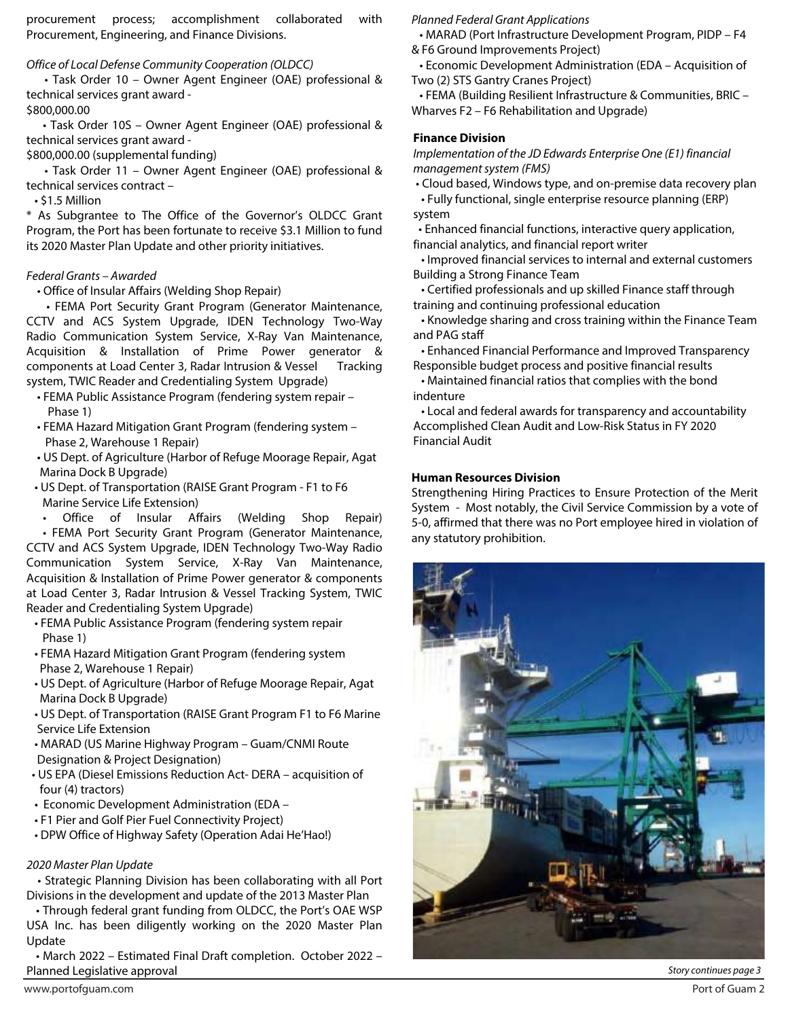procurement process; accomplishment collaborated with Procurement, Engineering, and Finance Divisions.

## Office of Local Defense Community Cooperation (OLDCC)

• Task Order 10 – Owner Agent Engineer (OAE) professional & technical services grant award -

\$800,000.00

• Task Order 10S – Owner Agent Engineer (OAE) professional & technical services grant award -

\$800,000.00 (supplemental funding)

• Task Order 11 – Owner Agent Engineer (OAE) professional & technical services contract –

• \$1.5 Million

\* As Subgrantee to The Office of the Governor's OLDCC Grant Program, the Port has been fortunate to receive \$3.1 Million to fund its 2020 Master Plan Update and other priority initiatives.

## Federal Grants – Awarded

• Office of Insular Affairs (Welding Shop Repair)

• FEMA Port Security Grant Program (Generator Maintenance, CCTV and ACS System Upgrade, IDEN Technology Two-Way Radio Communication System Service, X-Ray Van Maintenance, Acquisition & Installation of Prime Power generator & components at Load Center 3, Radar Intrusion & Vessel Tracking system, TWIC Reader and Credentialing System Upgrade)

- FEMA Public Assistance Program (fendering system repair Phase 1)
- FEMA Hazard Mitigation Grant Program (fendering system Phase 2, Warehouse 1 Repair)

• US Dept. of Agriculture (Harbor of Refuge Moorage Repair, Agat Marina Dock B Upgrade)

• US Dept. of Transportation (RAISE Grant Program - F1 to F6 Marine Service Life Extension)

Office of Insular Affairs (Welding Shop Repair) • FEMA Port Security Grant Program (Generator Maintenance, CCTV and ACS System Upgrade, IDEN Technology Two-Way Radio Communication System Service, X-Ray Van Maintenance, Acquisition & Installation of Prime Power generator & components at Load Center 3, Radar Intrusion & Vessel Tracking System, TWIC Reader and Credentialing System Upgrade)

- FEMA Public Assistance Program (fendering system repair Phase 1)
- FEMA Hazard Mitigation Grant Program (fendering system Phase 2, Warehouse 1 Repair)
- US Dept. of Agriculture (Harbor of Refuge Moorage Repair, Agat Marina Dock B Upgrade)
- US Dept. of Transportation (RAISE Grant Program F1 to F6 Marine Service Life Extension

• MARAD (US Marine Highway Program – Guam/CNMI Route Designation & Project Designation)

- US EPA (Diesel Emissions Reduction Act- DERA acquisition of four (4) tractors)
- Economic Development Administration (EDA –
- F1 Pier and Golf Pier Fuel Connectivity Project)
- DPW Office of Highway Safety (Operation Adai He'Hao!)

## 2020 Master Plan Update

• Strategic Planning Division has been collaborating with all Port Divisions in the development and update of the 2013 Master Plan

• Through federal grant funding from OLDCC, the Port's OAE WSP USA Inc. has been diligently working on the 2020 Master Plan Update

• March 2022 – Estimated Final Draft completion. October 2022 – Planned Legislative approval and the story continues page 3 and 2 story continues page 3

Planned Federal Grant Applications

• MARAD (Port Infrastructure Development Program, PIDP – F4 & F6 Ground Improvements Project)

• Economic Development Administration (EDA – Acquisition of Two (2) STS Gantry Cranes Project)

• FEMA (Building Resilient Infrastructure & Communities, BRIC – Wharves F2 – F6 Rehabilitation and Upgrade)

## **Finance Division**

Implementation of the JD Edwards Enterprise One (E1) financial management system (FMS)

• Cloud based, Windows type, and on-premise data recovery plan • Fully functional, single enterprise resource planning (ERP) system

• Enhanced financial functions, interactive query application, financial analytics, and financial report writer

• Improved financial services to internal and external customers Building a Strong Finance Team

• Certified professionals and up skilled Finance staff through training and continuing professional education

• Knowledge sharing and cross training within the Finance Team and PAG staff

• Enhanced Financial Performance and Improved Transparency Responsible budget process and positive financial results

• Maintained financial ratios that complies with the bond indenture

• Local and federal awards for transparency and accountability Accomplished Clean Audit and Low-Risk Status in FY 2020 Financial Audit

## **Human Resources Division**

Strengthening Hiring Practices to Ensure Protection of the Merit System - Most notably, the Civil Service Commission by a vote of 5-0, affirmed that there was no Port employee hired in violation of any statutory prohibition.

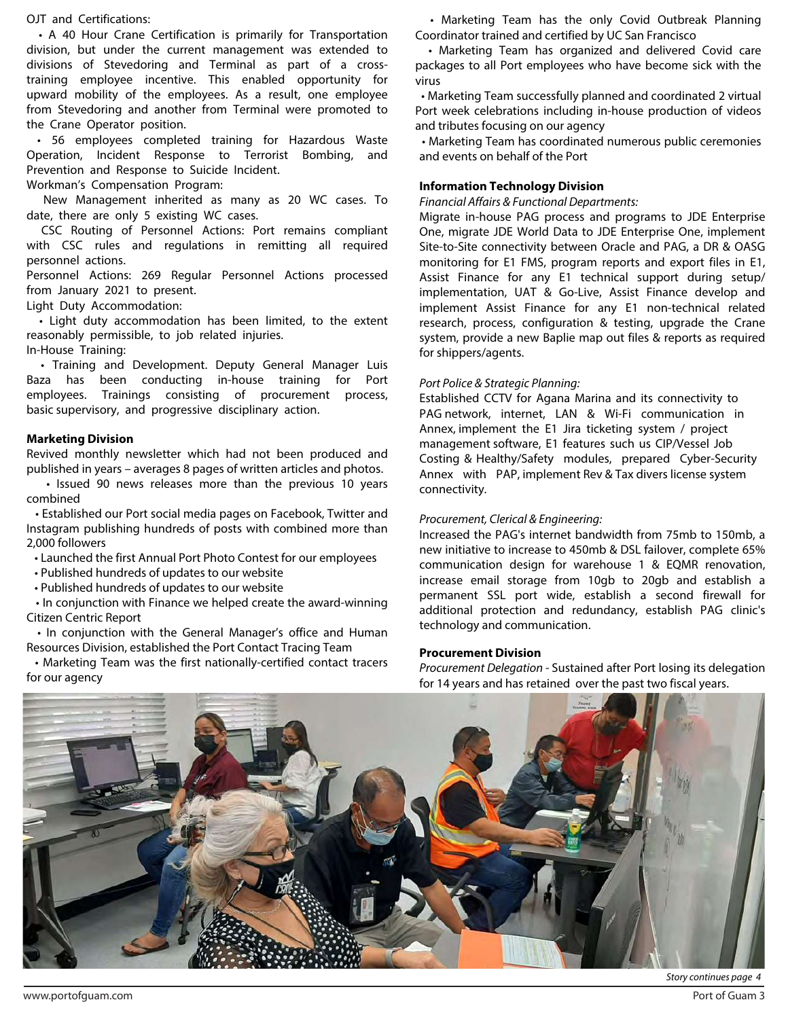OJT and Certifications:

• A 40 Hour Crane Certification is primarily for Transportation division, but under the current management was extended to divisions of Stevedoring and Terminal as part of a crosstraining employee incentive. This enabled opportunity for upward mobility of the employees. As a result, one employee from Stevedoring and another from Terminal were promoted to the Crane Operator position.

• 56 employees completed training for Hazardous Waste Operation, Incident Response to Terrorist Bombing, and Prevention and Response to Suicide Incident. Workman's Compensation Program:

New Management inherited as many as 20 WC cases. To

date, there are only 5 existing WC cases. CSC Routing of Personnel Actions: Port remains compliant with CSC rules and regulations in remitting all required personnel actions.

Personnel Actions: 269 Regular Personnel Actions processed from January 2021 to present.

Light Duty Accommodation:

• Light duty accommodation has been limited, to the extent reasonably permissible, to job related injuries. In-House Training:

• Training and Development. Deputy General Manager Luis Baza has been conducting in-house training for Port employees. Trainings consisting of procurement process, basic supervisory, and progressive disciplinary action.

#### **Marketing Division**

Revived monthly newsletter which had not been produced and published in years – averages 8 pages of written articles and photos.

• Issued 90 news releases more than the previous 10 years combined

• Established our Port social media pages on Facebook, Twitter and Instagram publishing hundreds of posts with combined more than 2,000 followers

- Launched the first Annual Port Photo Contest for our employees
- Published hundreds of updates to our website
- Published hundreds of updates to our website

• In conjunction with Finance we helped create the award-winning Citizen Centric Report

• In conjunction with the General Manager's office and Human Resources Division, established the Port Contact Tracing Team

• Marketing Team was the first nationally-certified contact tracers for our agency

• Marketing Team has the only Covid Outbreak Planning Coordinator trained and certified by UC San Francisco

• Marketing Team has organized and delivered Covid care packages to all Port employees who have become sick with the virus

• Marketing Team successfully planned and coordinated 2 virtual Port week celebrations including in-house production of videos and tributes focusing on our agency

• Marketing Team has coordinated numerous public ceremonies and events on behalf of the Port

#### **Information Technology Division**

Financial Affairs & Functional Departments:

Migrate in-house PAG process and programs to JDE Enterprise One, migrate JDE World Data to JDE Enterprise One, implement Site-to-Site connectivity between Oracle and PAG, a DR & OASG monitoring for E1 FMS, program reports and export files in E1, Assist Finance for any E1 technical support during setup/ implementation, UAT & Go-Live, Assist Finance develop and implement Assist Finance for any E1 non-technical related research, process, configuration & testing, upgrade the Crane system, provide a new Baplie map out files & reports as required for shippers/agents.

#### Port Police & Strategic Planning:

Established CCTV for Agana Marina and its connectivity to PAG network, internet, LAN & Wi-Fi communication in Annex, implement the E1 Jira ticketing system / project management software, E1 features such us CIP/Vessel Job Costing & Healthy/Safety modules, prepared Cyber-Security Annex with PAP, implement Rev & Tax divers license system connectivity.

#### Procurement, Clerical & Engineering:

Increased the PAG's internet bandwidth from 75mb to 150mb, a new initiative to increase to 450mb & DSL failover, complete 65% communication design for warehouse 1 & EQMR renovation, increase email storage from 10gb to 20gb and establish a permanent SSL port wide, establish a second firewall for additional protection and redundancy, establish PAG clinic's technology and communication.

#### **Procurement Division**

Procurement Delegation - Sustained after Port losing its delegation for 14 years and has retained over the past two fiscal years.



Story continues page 4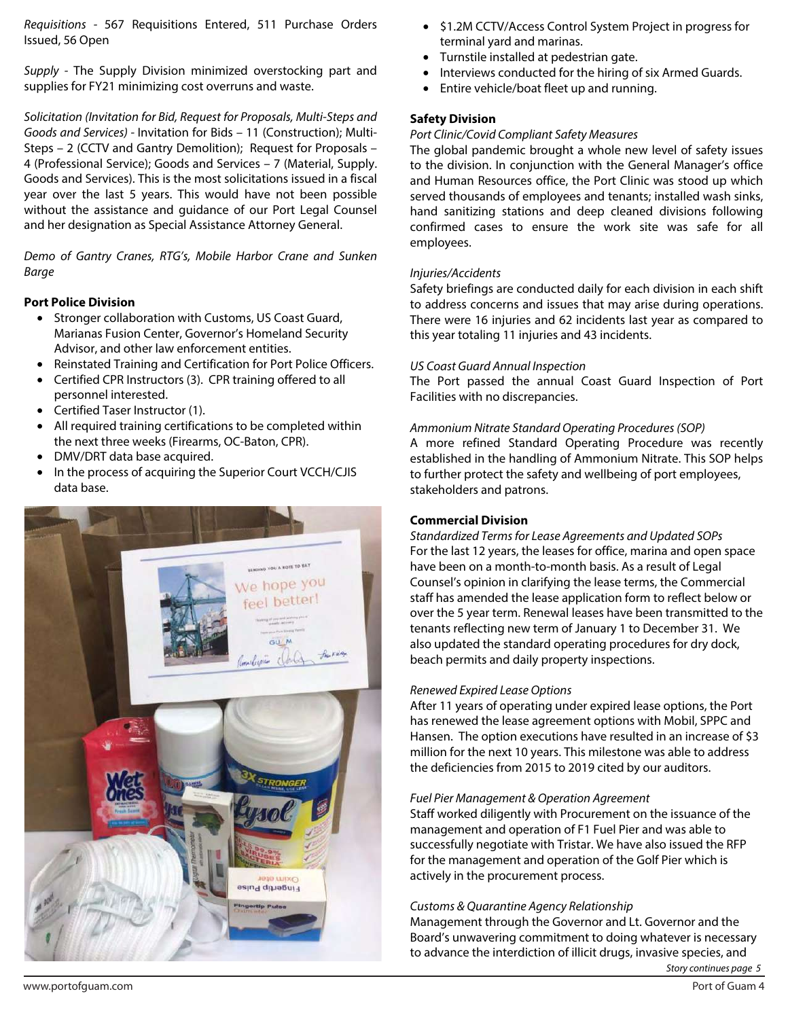Requisitions - 567 Requisitions Entered, 511 Purchase Orders Issued, 56 Open

Supply - The Supply Division minimized overstocking part and supplies for FY21 minimizing cost overruns and waste.

Solicitation (Invitation for Bid, Request for Proposals, Multi-Steps and Goods and Services) - Invitation for Bids – 11 (Construction); Multi-Steps – 2 (CCTV and Gantry Demolition); Request for Proposals – 4 (Professional Service); Goods and Services – 7 (Material, Supply. Goods and Services). This is the most solicitations issued in a fiscal year over the last 5 years. This would have not been possible without the assistance and guidance of our Port Legal Counsel and her designation as Special Assistance Attorney General.

Demo of Gantry Cranes, RTG's, Mobile Harbor Crane and Sunken Barge

## **Port Police Division**

- Stronger collaboration with Customs, US Coast Guard, Marianas Fusion Center, Governor's Homeland Security Advisor, and other law enforcement entities.
- Reinstated Training and Certification for Port Police Officers.
- Certified CPR Instructors (3). CPR training offered to all personnel interested.
- Certified Taser Instructor (1).
- All required training certifications to be completed within the next three weeks (Firearms, OC-Baton, CPR).
- DMV/DRT data base acquired.
- In the process of acquiring the Superior Court VCCH/CJIS data base.



- \$1.2M CCTV/Access Control System Project in progress for terminal yard and marinas.
- Turnstile installed at pedestrian gate.
- Interviews conducted for the hiring of six Armed Guards.
- Entire vehicle/boat fleet up and running.

## **Safety Division**

# Port Clinic/Covid Compliant Safety Measures

The global pandemic brought a whole new level of safety issues to the division. In conjunction with the General Manager's office and Human Resources office, the Port Clinic was stood up which served thousands of employees and tenants; installed wash sinks, hand sanitizing stations and deep cleaned divisions following confirmed cases to ensure the work site was safe for all employees.

#### Injuries/Accidents

Safety briefings are conducted daily for each division in each shift to address concerns and issues that may arise during operations. There were 16 injuries and 62 incidents last year as compared to this year totaling 11 injuries and 43 incidents.

## US Coast Guard Annual Inspection

The Port passed the annual Coast Guard Inspection of Port Facilities with no discrepancies.

## Ammonium Nitrate Standard Operating Procedures (SOP)

A more refined Standard Operating Procedure was recently established in the handling of Ammonium Nitrate. This SOP helps to further protect the safety and wellbeing of port employees, stakeholders and patrons.

## **Commercial Division**

Standardized Terms for Lease Agreements and Updated SOPs For the last 12 years, the leases for office, marina and open space have been on a month-to-month basis. As a result of Legal Counsel's opinion in clarifying the lease terms, the Commercial staff has amended the lease application form to reflect below or over the 5 year term. Renewal leases have been transmitted to the tenants reflecting new term of January 1 to December 31. We also updated the standard operating procedures for dry dock, beach permits and daily property inspections.

## Renewed Expired Lease Options

After 11 years of operating under expired lease options, the Port has renewed the lease agreement options with Mobil, SPPC and Hansen. The option executions have resulted in an increase of \$3 million for the next 10 years. This milestone was able to address the deficiencies from 2015 to 2019 cited by our auditors.

#### Fuel Pier Management & Operation Agreement

Staff worked diligently with Procurement on the issuance of the management and operation of F1 Fuel Pier and was able to successfully negotiate with Tristar. We have also issued the RFP for the management and operation of the Golf Pier which is actively in the procurement process.

#### Customs & Quarantine Agency Relationship

Management through the Governor and Lt. Governor and the Board's unwavering commitment to doing whatever is necessary to advance the interdiction of illicit drugs, invasive species, and Story continues page 5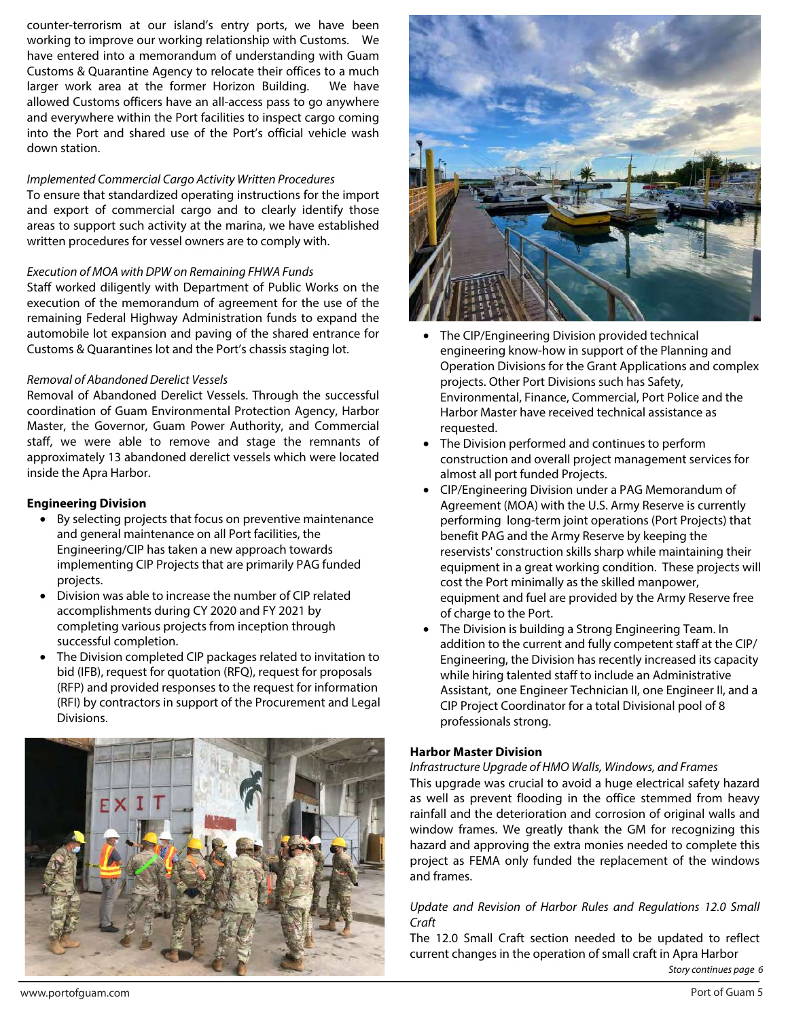counter-terrorism at our island's entry ports, we have been working to improve our working relationship with Customs. We have entered into a memorandum of understanding with Guam Customs & Quarantine Agency to relocate their offices to a much larger work area at the former Horizon Building. We have allowed Customs officers have an all-access pass to go anywhere and everywhere within the Port facilities to inspect cargo coming into the Port and shared use of the Port's official vehicle wash down station.

#### Implemented Commercial Cargo Activity Written Procedures

To ensure that standardized operating instructions for the import and export of commercial cargo and to clearly identify those areas to support such activity at the marina, we have established written procedures for vessel owners are to comply with.

## Execution of MOA with DPW on Remaining FHWA Funds

Staff worked diligently with Department of Public Works on the execution of the memorandum of agreement for the use of the remaining Federal Highway Administration funds to expand the automobile lot expansion and paving of the shared entrance for Customs & Quarantines lot and the Port's chassis staging lot.

## Removal of Abandoned Derelict Vessels

Removal of Abandoned Derelict Vessels. Through the successful coordination of Guam Environmental Protection Agency, Harbor Master, the Governor, Guam Power Authority, and Commercial staff, we were able to remove and stage the remnants of approximately 13 abandoned derelict vessels which were located inside the Apra Harbor.

#### **Engineering Division**

- By selecting projects that focus on preventive maintenance and general maintenance on all Port facilities, the Engineering/CIP has taken a new approach towards implementing CIP Projects that are primarily PAG funded projects.
- Division was able to increase the number of CIP related accomplishments during CY 2020 and FY 2021 by completing various projects from inception through successful completion.
- The Division completed CIP packages related to invitation to bid (IFB), request for quotation (RFQ), request for proposals (RFP) and provided responses to the request for information (RFI) by contractors in support of the Procurement and Legal Divisions.





- The CIP/Engineering Division provided technical engineering know-how in support of the Planning and Operation Divisions for the Grant Applications and complex projects. Other Port Divisions such has Safety, Environmental, Finance, Commercial, Port Police and the Harbor Master have received technical assistance as requested.
- The Division performed and continues to perform construction and overall project management services for almost all port funded Projects.
- CIP/Engineering Division under a PAG Memorandum of Agreement (MOA) with the U.S. Army Reserve is currently performing long-term joint operations (Port Projects) that benefit PAG and the Army Reserve by keeping the reservists' construction skills sharp while maintaining their equipment in a great working condition. These projects will cost the Port minimally as the skilled manpower, equipment and fuel are provided by the Army Reserve free of charge to the Port.
- The Division is building a Strong Engineering Team. In addition to the current and fully competent staff at the CIP/ Engineering, the Division has recently increased its capacity while hiring talented staff to include an Administrative Assistant, one Engineer Technician II, one Engineer II, and a CIP Project Coordinator for a total Divisional pool of 8 professionals strong.

#### **Harbor Master Division**

#### Infrastructure Upgrade of HMO Walls, Windows, and Frames

This upgrade was crucial to avoid a huge electrical safety hazard as well as prevent flooding in the office stemmed from heavy rainfall and the deterioration and corrosion of original walls and window frames. We greatly thank the GM for recognizing this hazard and approving the extra monies needed to complete this project as FEMA only funded the replacement of the windows and frames.

Update and Revision of Harbor Rules and Regulations 12.0 Small Craft

The 12.0 Small Craft section needed to be updated to reflect current changes in the operation of small craft in Apra Harbor

Story continues page 6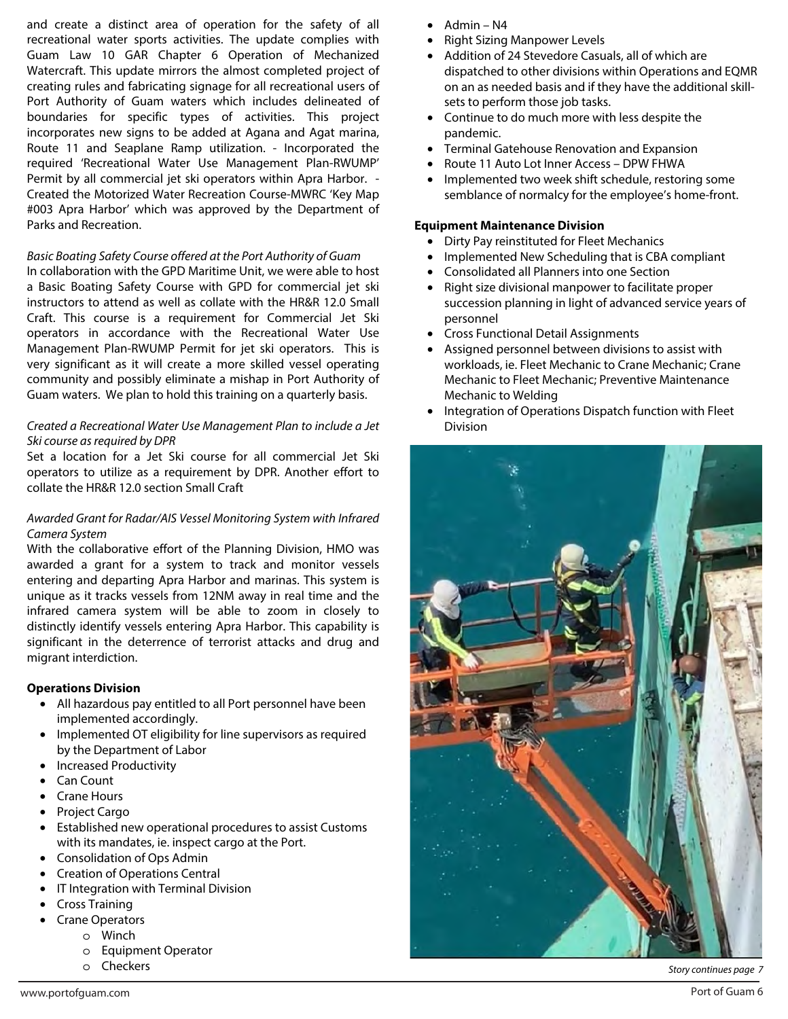and create a distinct area of operation for the safety of all recreational water sports activities. The update complies with Guam Law 10 GAR Chapter 6 Operation of Mechanized Watercraft. This update mirrors the almost completed project of creating rules and fabricating signage for all recreational users of Port Authority of Guam waters which includes delineated of boundaries for specific types of activities. This project incorporates new signs to be added at Agana and Agat marina, Route 11 and Seaplane Ramp utilization. - Incorporated the required 'Recreational Water Use Management Plan-RWUMP' Permit by all commercial jet ski operators within Apra Harbor. - Created the Motorized Water Recreation Course-MWRC 'Key Map #003 Apra Harbor' which was approved by the Department of Parks and Recreation.

## Basic Boating Safety Course offered at the Port Authority of Guam

In collaboration with the GPD Maritime Unit, we were able to host a Basic Boating Safety Course with GPD for commercial jet ski instructors to attend as well as collate with the HR&R 12.0 Small Craft. This course is a requirement for Commercial Jet Ski operators in accordance with the Recreational Water Use Management Plan-RWUMP Permit for jet ski operators. This is very significant as it will create a more skilled vessel operating community and possibly eliminate a mishap in Port Authority of Guam waters. We plan to hold this training on a quarterly basis.

#### Created a Recreational Water Use Management Plan to include a Jet Ski course as required by DPR

Set a location for a Jet Ski course for all commercial Jet Ski operators to utilize as a requirement by DPR. Another effort to collate the HR&R 12.0 section Small Craft

## Awarded Grant for Radar/AIS Vessel Monitoring System with Infrared Camera System

With the collaborative effort of the Planning Division, HMO was awarded a grant for a system to track and monitor vessels entering and departing Apra Harbor and marinas. This system is unique as it tracks vessels from 12NM away in real time and the infrared camera system will be able to zoom in closely to distinctly identify vessels entering Apra Harbor. This capability is significant in the deterrence of terrorist attacks and drug and migrant interdiction.

#### **Operations Division**

- All hazardous pay entitled to all Port personnel have been implemented accordingly.
- Implemented OT eligibility for line supervisors as required by the Department of Labor
- Increased Productivity
- **Can Count**
- Crane Hours
- Project Cargo
- Established new operational procedures to assist Customs with its mandates, ie. inspect cargo at the Port.
- Consolidation of Ops Admin
- Creation of Operations Central
- IT Integration with Terminal Division
- Cross Training
- Crane Operators
	- o Winch
	- o Equipment Operator
	- o Checkers
- Admin N4
- Right Sizing Manpower Levels
- Addition of 24 Stevedore Casuals, all of which are dispatched to other divisions within Operations and EQMR on an as needed basis and if they have the additional skillsets to perform those job tasks.
- Continue to do much more with less despite the pandemic.
- Terminal Gatehouse Renovation and Expansion
- Route 11 Auto Lot Inner Access DPW FHWA
- Implemented two week shift schedule, restoring some semblance of normalcy for the employee's home-front.

#### **Equipment Maintenance Division**

- Dirty Pay reinstituted for Fleet Mechanics
- Implemented New Scheduling that is CBA compliant
- Consolidated all Planners into one Section
- Right size divisional manpower to facilitate proper succession planning in light of advanced service years of personnel
- Cross Functional Detail Assignments
- Assigned personnel between divisions to assist with workloads, ie. Fleet Mechanic to Crane Mechanic; Crane Mechanic to Fleet Mechanic; Preventive Maintenance Mechanic to Welding
- Integration of Operations Dispatch function with Fleet Division



Story continues page 7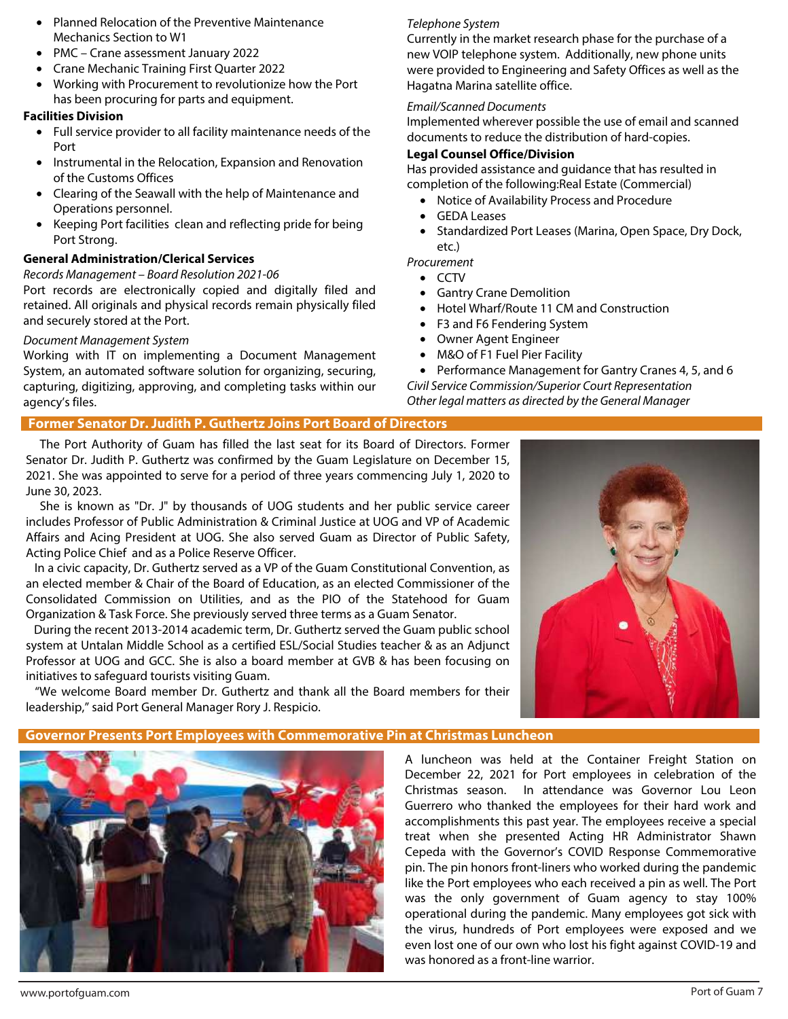- PMC Crane assessment January 2022
- Crane Mechanic Training First Quarter 2022
- Working with Procurement to revolutionize how the Port has been procuring for parts and equipment.

# **Facilities Division**

- Full service provider to all facility maintenance needs of the Port
- Instrumental in the Relocation, Expansion and Renovation of the Customs Offices
- Clearing of the Seawall with the help of Maintenance and Operations personnel.
- Keeping Port facilities clean and reflecting pride for being Port Strong.

# **General Administration/Clerical Services**

# Records Management – Board Resolution 2021-06

Port records are electronically copied and digitally filed and retained. All originals and physical records remain physically filed and securely stored at the Port.

# Document Management System

Working with IT on implementing a Document Management System, an automated software solution for organizing, securing, capturing, digitizing, approving, and completing tasks within our agency's files.

# **Former Senator Dr. Judith P. Guthertz Joins Port Board of Directors**

 The Port Authority of Guam has filled the last seat for its Board of Directors. Former Senator Dr. Judith P. Guthertz was confirmed by the Guam Legislature on December 15, 2021. She was appointed to serve for a period of three years commencing July 1, 2020 to June 30, 2023.

 She is known as "Dr. J" by thousands of UOG students and her public service career includes Professor of Public Administration & Criminal Justice at UOG and VP of Academic Affairs and Acing President at UOG. She also served Guam as Director of Public Safety, Acting Police Chief and as a Police Reserve Officer.

 In a civic capacity, Dr. Guthertz served as a VP of the Guam Constitutional Convention, as an elected member & Chair of the Board of Education, as an elected Commissioner of the Consolidated Commission on Utilities, and as the PIO of the Statehood for Guam Organization & Task Force. She previously served three terms as a Guam Senator.

 During the recent 2013-2014 academic term, Dr. Guthertz served the Guam public school system at Untalan Middle School as a certified ESL/Social Studies teacher & as an Adjunct Professor at UOG and GCC. She is also a board member at GVB & has been focusing on initiatives to safeguard tourists visiting Guam.

 "We welcome Board member Dr. Guthertz and thank all the Board members for their leadership," said Port General Manager Rory J. Respicio.

# **Governor Presents Port Employees with Commemorative Pin at Christmas Luncheon**

A luncheon was held at the Container Freight Station on December 22, 2021 for Port employees in celebration of the Christmas season. In attendance was Governor Lou Leon Guerrero who thanked the employees for their hard work and accomplishments this past year. The employees receive a special treat when she presented Acting HR Administrator Shawn Cepeda with the Governor's COVID Response Commemorative pin. The pin honors front-liners who worked during the pandemic like the Port employees who each received a pin as well. The Port was the only government of Guam agency to stay 100% operational during the pandemic. Many employees got sick with the virus, hundreds of Port employees were exposed and we even lost one of our own who lost his fight against COVID-19 and was honored as a front-line warrior.

# Telephone System

Currently in the market research phase for the purchase of a new VOIP telephone system. Additionally, new phone units were provided to Engineering and Safety Offices as well as the Hagatna Marina satellite office.

# Email/Scanned Documents

Implemented wherever possible the use of email and scanned documents to reduce the distribution of hard-copies.

# **Legal Counsel Office/Division**

Has provided assistance and guidance that has resulted in completion of the following:Real Estate (Commercial)

- Notice of Availability Process and Procedure
- GEDA Leases
- Standardized Port Leases (Marina, Open Space, Dry Dock, etc.)

# Procurement

- CCTV
	- Gantry Crane Demolition
- Hotel Wharf/Route 11 CM and Construction
- F3 and F6 Fendering System
- Owner Agent Engineer
- M&O of F1 Fuel Pier Facility

• Performance Management for Gantry Cranes 4, 5, and 6 Civil Service Commission/Superior Court Representation Other legal matters as directed by the General Manager



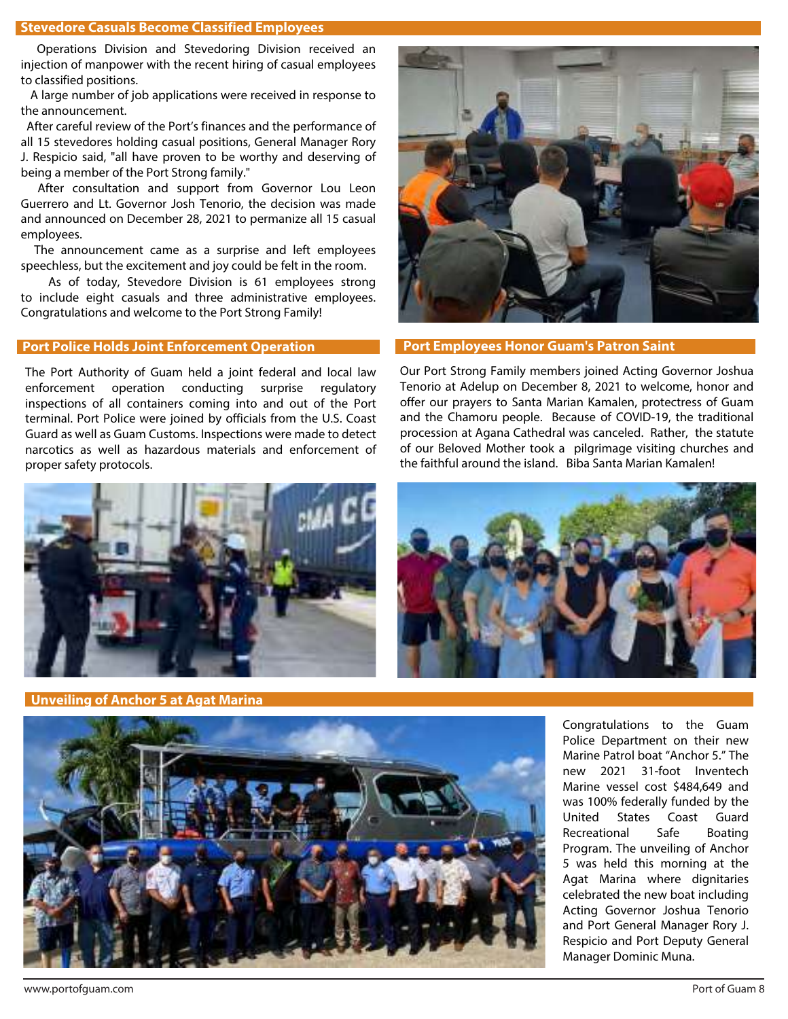#### **Stevedore Casuals Become Classified Employees**

 Operations Division and Stevedoring Division received an injection of manpower with the recent hiring of casual employees to classified positions.

 A large number of job applications were received in response to the announcement.

 After careful review of the Port's finances and the performance of all 15 stevedores holding casual positions, General Manager Rory J. Respicio said, "all have proven to be worthy and deserving of being a member of the Port Strong family."

 After consultation and support from Governor Lou Leon Guerrero and Lt. Governor Josh Tenorio, the decision was made and announced on December 28, 2021 to permanize all 15 casual employees.

 The announcement came as a surprise and left employees speechless, but the excitement and joy could be felt in the room.

 As of today, Stevedore Division is 61 employees strong to include eight casuals and three administrative employees. Congratulations and welcome to the Port Strong Family!

#### **Port Police Holds Joint Enforcement Operation**

The Port Authority of Guam held a joint federal and local law enforcement operation conducting surprise regulatory inspections of all containers coming into and out of the Port terminal. Port Police were joined by officials from the U.S. Coast Guard as well as Guam Customs. Inspections were made to detect narcotics as well as hazardous materials and enforcement of proper safety protocols.



**Unveiling of Anchor 5 at Agat Marina**



Congratulations to the Guam Police Department on their new Marine Patrol boat "Anchor 5." The new 2021 31-foot Inventech Marine vessel cost \$484,649 and was 100% federally funded by the United States Coast Guard Recreational Safe Boating Program. The unveiling of Anchor 5 was held this morning at the Agat Marina where dignitaries celebrated the new boat including Acting Governor Joshua Tenorio and Port General Manager Rory J. Respicio and Port Deputy General Manager Dominic Muna.



**Port Employees Honor Guam's Patron Saint**

Our Port Strong Family members joined Acting Governor Joshua Tenorio at Adelup on December 8, 2021 to welcome, honor and offer our prayers to Santa Marian Kamalen, protectress of Guam and the Chamoru people. Because of COVID-19, the traditional procession at Agana Cathedral was canceled. Rather, the statute of our Beloved Mother took a pilgrimage visiting churches and the faithful around the island. Biba Santa Marian Kamalen!

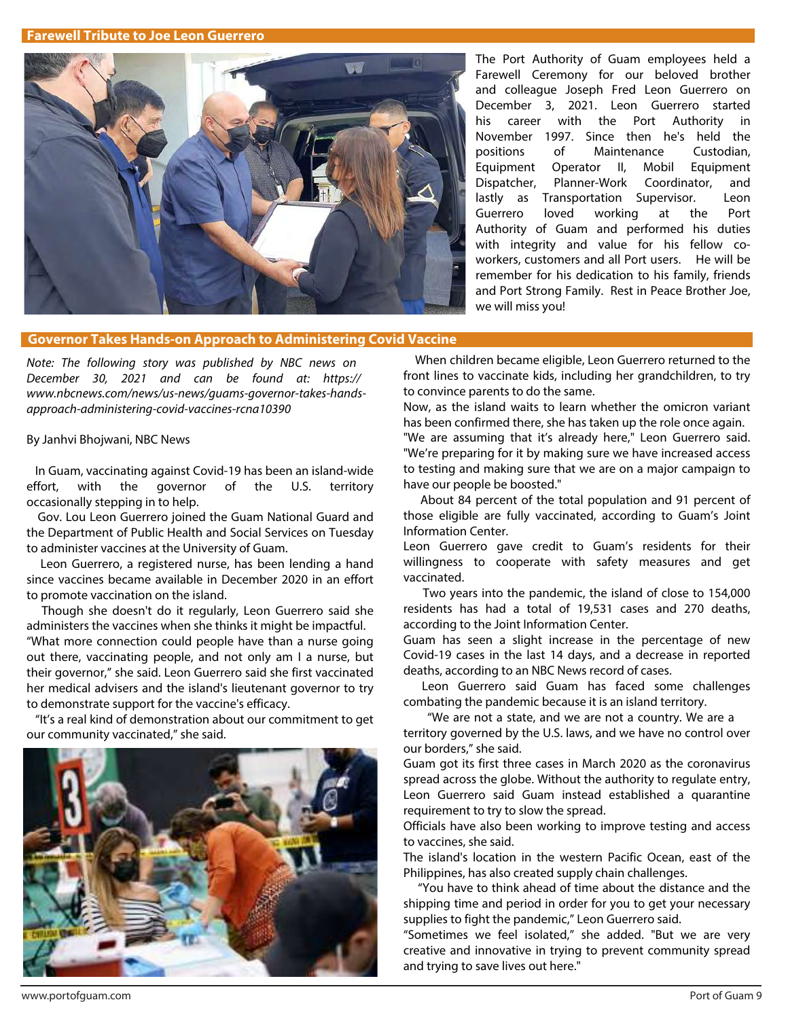#### **Farewell Tribute to Joe Leon Guerrero**



The Port Authority of Guam employees held a Farewell Ceremony for our beloved brother and colleague Joseph Fred Leon Guerrero on December 3, 2021. Leon Guerrero started his career with the Port Authority in November 1997. Since then he's held the positions of Maintenance Custodian, Equipment Operator II, Mobil Equipment Dispatcher, Planner-Work Coordinator, and lastly as Transportation Supervisor. Leon Guerrero loved working at the Port Authority of Guam and performed his duties with integrity and value for his fellow coworkers, customers and all Port users. He will be remember for his dedication to his family, friends and Port Strong Family. Rest in Peace Brother Joe, we will miss you!

#### **Governor Takes Hands-on Approach to Administering Covid Vaccine**

Note: The following story was published by NBC news on December 30, 2021 and can be found at: https:// www.nbcnews.com/news/us-news/guams-governor-takes-handsapproach-administering-covid-vaccines-rcna10390

By Janhvi Bhojwani, NBC News

 In Guam, vaccinating against Covid-19 has been an island-wide effort, with the governor of the U.S. territory occasionally stepping in to help.

 Gov. Lou Leon Guerrero joined the Guam National Guard and the Department of Public Health and Social Services on Tuesday to administer vaccines at the University of Guam.

Leon Guerrero, a registered nurse, has been lending a hand since vaccines became available in December 2020 in an effort to promote vaccination on the island.

 Though she doesn't do it regularly, Leon Guerrero said she administers the vaccines when she thinks it might be impactful.

"What more connection could people have than a nurse going out there, vaccinating people, and not only am I a nurse, but their governor," she said. Leon Guerrero said she first vaccinated her medical advisers and the island's lieutenant governor to try to demonstrate support for the vaccine's efficacy.

 "It's a real kind of demonstration about our commitment to get our community vaccinated," she said.



 When children became eligible, Leon Guerrero returned to the front lines to vaccinate kids, including her grandchildren, to try to convince parents to do the same.

Now, as the island waits to learn whether the omicron variant has been confirmed there, she has taken up the role once again. "We are assuming that it's already here," Leon Guerrero said. "We're preparing for it by making sure we have increased access to testing and making sure that we are on a major campaign to have our people be boosted."

 About 84 percent of the total population and 91 percent of those eligible are fully vaccinated, according to Guam's Joint Information Center.

Leon Guerrero gave credit to Guam's residents for their willingness to cooperate with safety measures and get vaccinated.

 Two years into the pandemic, the island of close to 154,000 residents has had a total of 19,531 cases and 270 deaths, according to the Joint Information Center.

Guam has seen a slight increase in the percentage of new Covid-19 cases in the last 14 days, and a decrease in reported deaths, according to an NBC News record of cases.

 Leon Guerrero said Guam has faced some challenges combating the pandemic because it is an island territory.

 "We are not a state, and we are not a country. We are a territory governed by the U.S. laws, and we have no control over our borders," she said.

Guam got its first three cases in March 2020 as the coronavirus spread across the globe. Without the authority to regulate entry, Leon Guerrero said Guam instead established a quarantine requirement to try to slow the spread.

Officials have also been working to improve testing and access to vaccines, she said.

The island's location in the western Pacific Ocean, east of the Philippines, has also created supply chain challenges.

 "You have to think ahead of time about the distance and the shipping time and period in order for you to get your necessary supplies to fight the pandemic," Leon Guerrero said.

"Sometimes we feel isolated," she added. "But we are very creative and innovative in trying to prevent community spread and trying to save lives out here."